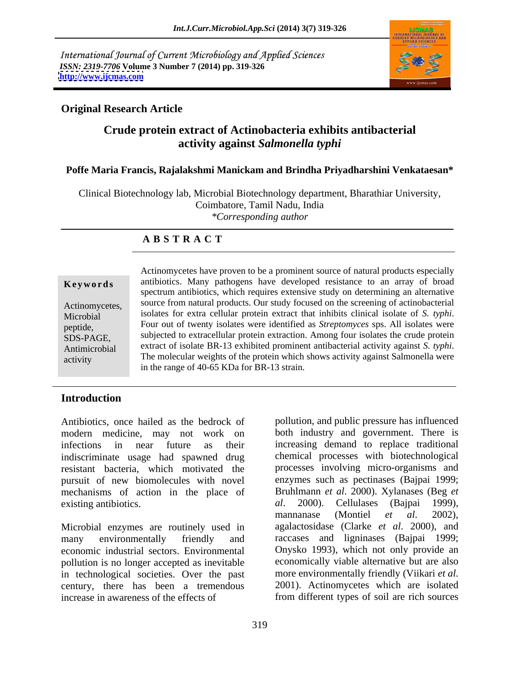International Journal of Current Microbiology and Applied Sciences *ISSN: 2319-7706* **Volume 3 Number 7 (2014) pp. 319-326 <http://www.ijcmas.com>**



#### **Original Research Article**

### **Crude protein extract of Actinobacteria exhibits antibacterial activity against** *Salmonella typhi*

#### **Poffe Maria Francis, Rajalakshmi Manickam and Brindha Priyadharshini Venkataesan\***

Clinical Biotechnology lab, Microbial Biotechnology department, Bharathiar University, Coimbatore, Tamil Nadu, India *\*Corresponding author* 

### **A B S T R A C T**

**Keywords** antibiotics. Many pathogens have developed resistance to an array of broad Actinomycetes, source from natural products. Our study focused on the screening of actinobacterial Microbial isolates for extra cellular protein extract that inhibits clinical isolate of S. typhi. Microbial isolates for extra cellular protein extract that inhibits clinical isolate of *S. typhi*.<br>
Four out of twenty isolates were identified as *Streptomyces* sps. All isolates were SDS-PAGE, subjected to extracellular protein extraction. Among four isolates the crude protein Antimicrobial extract of isolate BR-13 exhibited prominent antibacterial activity against *S. typhi*. activity The molecular weights of the protein which shows activity against Salmonella were Actinomycetes have proven to be a prominent source of natural products especially spectrum antibiotics, which requires extensive study on determining an alternative in the range of 40-65 KDa for BR-13 strain.

### **Introduction**

Antibiotics, once hailed as the bedrock of pollution, and public pressure has influenced modern medicine, may not work on indiscriminate usage had spawned drug resistant bacteria, which motivated the pursuit of new biomolecules with novel mechanisms of action in the place of Bruhlmann *et al.* 2000). Xylanases (Beg *et* existing antibiotics. *al.* 2000). Cellulases (Baipai 1999). existing antibiotics. al. 2000).<br>mannanase

Microbial enzymes are routinely used in pollution is no longer accepted as inevitable<br>in technological societies. Over the past more environmentally friendly (Viikari *et al.*) in technological societies. Over the past more environmentally friendly (Viikari et al.<br>century, there has been a tremendous 2001). Actinomycetes which are isolated century, there has been a tremendous increase in awareness of the effects of from different types of soil are rich sources

infections in near future as their increasing demand to replace traditional many environmentally friendly and raccases and ligninases (Bajpai 1999; economic industrial sectors. Environmental Onysko 1993), which not only provide an both industry and government. There is chemical processes with biotechnological processes involving micro-organisms and enzymes such as pectinases (Bajpai 1999; Bruhlmann *et al*. 2000). Xylanases (Beg *et Cellulases* (Bajpai mannanase (Montiel *et al*. 2002), agalactosidase (Clarke *et al*. 2000), and economically viable alternative but are also more environmentally friendly (Viikari *et al*. 2001). Actinomycetes which are isolated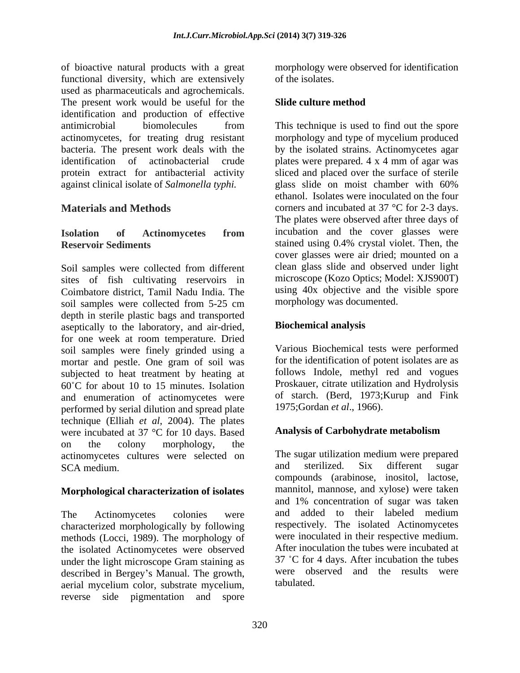of bioactive natural products with a great functional diversity, which are extensively of the isolates. used as pharmaceuticals and agrochemicals. The present work would be useful for the Slide culture method identification and production of effective antimicrobial biomolecules from This technique is used to find out the spore actinomycetes, for treating drug resistant morphology and type of mycelium produced bacteria. The present work deals with the by the isolated strains. Actinomycetes agar identification of actinobacterial crude plates were prepared. 4 x 4 mm of agar was protein extract for antibacterial activity sliced and placed over the surface of sterile against clinical isolate of *Salmonella typhi.*

Soil samples were collected from different sites of fish cultivating reservoirs in Coimbatore district, Tamil Nadu India. The soil samples were collected from 5-25 cm depth in sterile plastic bags and transported aseptically to the laboratory, and air-dried, for one week at room temperature. Dried soil samples were finely grinded using a mortar and pestle. One gram of soil was subjected to heat treatment by heating at  $60^{\circ}$ C for about 10 to 15 minutes. Isolation and enumeration of actinomycetes were performed by serial dilution and spread plate technique (Elliah *et al*, 2004). The plates<br>were incubated at 37 °C for 10 days Based **Analysis of Carbohydrate metabolism** were incubated at 37 °C for 10 days. Based on the colony morphology, the actinomycetes cultures were selected on The sugar utilization medium were prepared<br>SCA medium and sterilized. Six different sugar SCA medium. The same sterilized. Six different sugar

#### **Morphological characterization of isolates**

characterized morphologically by following methods (Locci, 1989). The morphology of the isolated Actinomycetes were observed under the light microscope Gram staining as described in Bergey's Manual. The growth, aerial mycelium color, substrate mycelium, reverse side pigmentation and spore

morphology were observed for identification of the isolates.

### **Slide culture method**

**Materials and Methods** corners and incubated at 37 °C for 2-3 days. **Isolation of Actinomycetes from Reservoir Sediments** stained using 0.4% crystal violet. Then, the glass slide on moist chamber with 60% ethanol. Isolates were inoculated on the four The plates were observed after three days of incubation and the cover glasses were cover glasses were air dried; mounted on a clean glass slide and observed under light microscope (Kozo Optics; Model: XJS900T) using 40x objective and the visible spore morphology was documented.

### **Biochemical analysis**

Various Biochemical tests were performed for the identification of potent isolates are as follows Indole, methyl red and vogues Proskauer, citrate utilization and Hydrolysis of starch. (Berd, 1973;Kurup and Fink 1975;Gordan *et al*., 1966).

#### **Analysis of Carbohydrate metabolism**

The Actinomycetes colonies were and added to their labeled medium The sugar utilization medium were prepared and sterilized. Six different sugar compounds (arabinose, inositol, lactose, mannitol, mannose, and xylose) were taken and 1% concentration of sugar was taken respectively. The isolated Actinomycetes were inoculated in their respective medium. After inoculation the tubes were incubated at  $37 \text{ °C}$  for 4 days. After incubation the tubes were observed and the results were tabulated.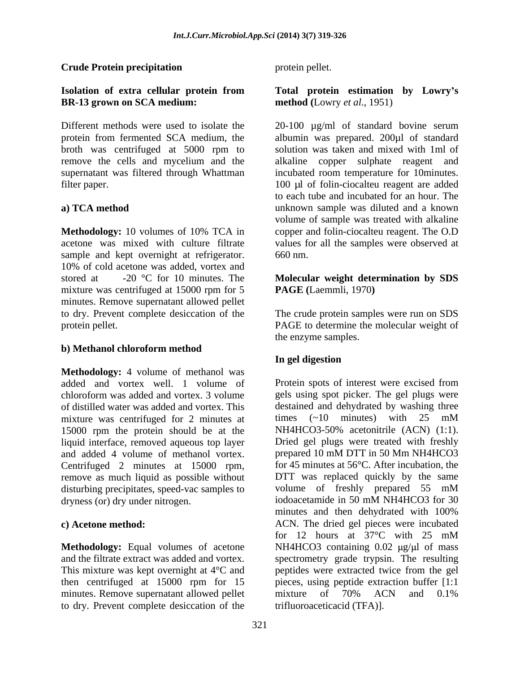#### **Crude Protein precipitation**

## **BR-13 grown on SCA medium:**

broth was centrifuged at 5000 rpm to

sample and kept overnight at refrigerator. 660 nm. 10% of cold acetone was added, vortex and stored at -20 °C for 10 minutes. The **Molecular weight determination by SDS** mixture was centrifuged at 15000 rpm for 5 minutes. Remove supernatant allowed pellet to dry. Prevent complete desiccation of the The crude protein samples were run on SDS protein pellet. PAGE to determine the molecular weight of

#### **b) Methanol chloroform method**

**Methodology:** 4 volume of methanol was of distilled water was added and vortex. This mixture was centrifuged for 2 minutes at times  $(-10 \text{ minutes})$  with  $25 \text{ mM}$ 15000 rpm the protein should be at the liquid interface, removed aqueous top layer and added 4 volume of methanol vortex. dryness (or) dry under nitrogen. iodoacetamide in 50 mM NH4HCO3 for 30

minutes. Remove supernatant allowed pellet mixture of 70% ACN and 0.1% to dry. Prevent complete desiccation of the

protein pellet.

#### **Isolation of extra cellular protein from Total protein estimation by Lowry s method (**Lowry *et al*., 1951)

Different methods were used to isolate the 20-100 µg/ml of standard bovine serum protein from fermented SCA medium, the albumin was prepared. 200µl of standard remove the cells and mycelium and the alkaline copper sulphate reagent and supernatant was filtered through Whattman incubated room temperature for 10minutes. filter paper. 100 µl of folin-ciocalteu reagent are added **a**) **TCA method unknown** sample was diluted and a known **Methodology:** 10 volumes of 10% TCA in copper and folin-ciocalteu reagent. The O.D acetone was mixed with culture filtrate values for all the samples were observed at solution was taken and mixed with 1ml of to each tube and incubated for an hour. The volume of sample was treated with alkaline 660 nm.

# **PAGE (**Laemmli, 1970**)**

the enzyme samples.

### **In gel digestion**

added and vortex well. 1 volume of Protein spots of interest were excised from chloroform was added and vortex. 3 volume gels using spot picker. The gel plugs were Centrifuged 2 minutes at 15000 rpm, for 45 minutes at 56°C. After incubation, the remove as much liquid as possible without DTT was replaced quickly by the same disturbing precipitates, speed-vac samples to volume of freshly prepared 55 mM **c) Acetone method:** ACN. The dried gel pieces were incubated **Methodology:** Equal volumes of acetone MH4HCO3 containing 0.02  $\mu$ g/ $\mu$ l of mass and the filtrate extract was added and vortex. spectrometry grade trypsin. The resulting This mixture was kept overnight at 4°C and peptides were extracted twice from the gel then centrifuged at 15000 rpm for 15 pieces, using peptide extraction buffer [1:1 destained and dehydrated by washing three times (~10 minutes) with 25 mM NH4HCO3-50% acetonitrile (ACN) (1:1). Dried gel plugs were treated with freshly prepared 10 mM DTT in 50 Mm NH4HCO3 for 45 minutes at 56°C. After incubation, the DTT was replaced quickly by the same iodoacetamide in 50 mM NH4HCO3 for 30 minutes and then dehydrated with 100% for 12 hours at 37°C with 25 mM mixture of 70% ACN and 0.1% trifluoroaceticacid (TFA)].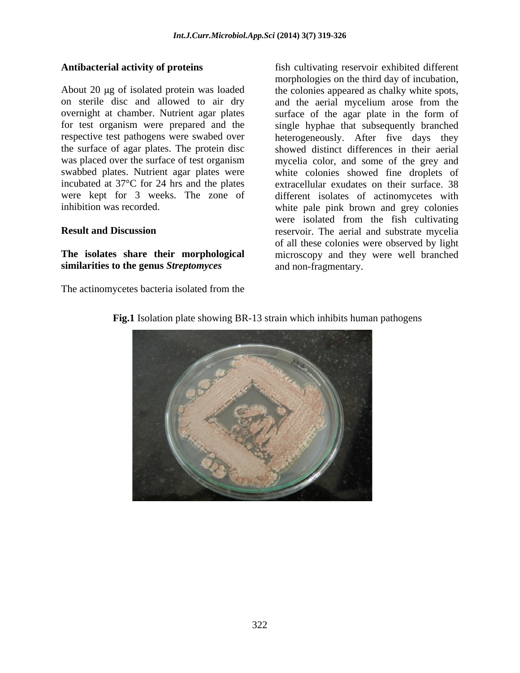incubated at 37°C for 24 hrs and the plates

## **similarities to the genus** *Streptomyces*

The actinomycetes bacteria isolated from the

**Antibacterial activity of proteins** fish cultivating reservoir exhibited different About 20 µg of isolated protein was loaded the colonies appeared as chalky white spots, on sterile disc and allowed to air dry and the aerial mycelium arose from the overnight at chamber. Nutrient agar plates surface of the agar plate in the form of for test organism were prepared and the single hyphae that subsequently branched respective test pathogens were swabed over heterogeneously. After five days they the surface of agar plates. The protein disc showed distinct differences in their aerial was placed over the surface of test organism mycelia color, and some of the grey and swabbed plates. Nutrient agar plates were white colonies showed fine droplets of were kept for 3 weeks. The zone of different isolates of actinomycetes with inhibition was recorded. white pale pink brown and grey colonies **Result and Discussion reservoir.** The aerial and substrate mycelia **The isolates share their morphological** microscopy and they were well branched morphologies on the third day of incubation, extracellular exudates on their surface. 38 were isolated from the fish cultivating of all these colonies were observed by light and non-fragmentary.



#### **Fig.1** Isolation plate showing BR-13 strain which inhibits human pathogens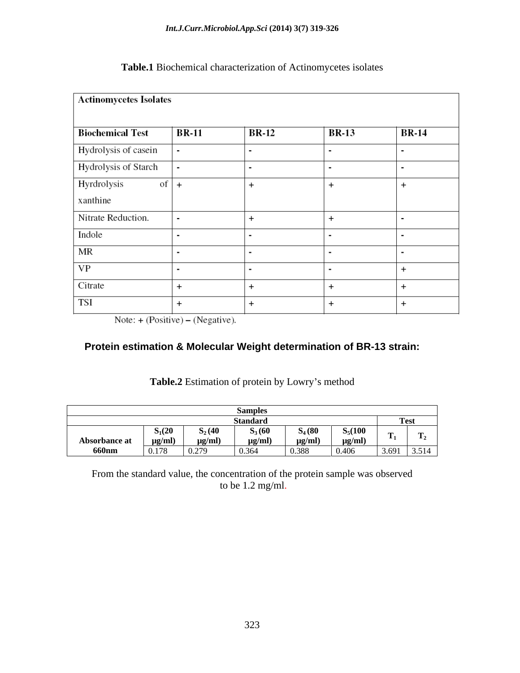| <b>Actinomycetes Isolates</b> |                |                |                |                |
|-------------------------------|----------------|----------------|----------------|----------------|
| <b>Biochemical Test</b>       | <b>BR-11</b>   | <b>BR-12</b>   | <b>BR-13</b>   | <b>BR-14</b>   |
| Hydrolysis of casein          | $\blacksquare$ | $\blacksquare$ | $\blacksquare$ | $\blacksquare$ |
| Hydrolysis of Starch          | $\blacksquare$ | $\blacksquare$ | ۰              | $\blacksquare$ |
| Hyrdrolysis<br>of<br>xanthine | $\ddot{}$      | $\ddot{}$      | $\ddot{}$      | $\ddot{}$      |
| Nitrate Reduction.            | $\blacksquare$ | $\ddot{}$      | $\ddot{}$      | $\blacksquare$ |
| Indole                        | $\blacksquare$ | $\blacksquare$ | $\blacksquare$ | $\blacksquare$ |
| МR                            |                | $\blacksquare$ | $\blacksquare$ | $\blacksquare$ |
| VP                            | $\blacksquare$ | $\blacksquare$ | ٠              | $\ddot{}$      |
| Citrate                       | $\ddot{}$      | $\ddot{}$      | $\ddot{}$      | $\ddot{}$      |
| TSI                           | $\ddot{}$      | $\ddot{}$      | $\ddot{}$      | $\ddot{}$      |

### **Table.1** Biochemical characterization of Actinomycetes isolates

Note:  $+ (Positive) - (Negative)$ .

### **Protein estimation & Molecular Weight determination of BR-13 strain:**

|                        |                                 |           | ำทdลเ          |                |                                                                                                                                                      |       | 1 сэі |
|------------------------|---------------------------------|-----------|----------------|----------------|------------------------------------------------------------------------------------------------------------------------------------------------------|-------|-------|
|                        | $S_1(20)$                       | $S_2(40)$ | $S_3(60)$      | $S_4(80)$      | $S_5(100$                                                                                                                                            |       |       |
|                        |                                 |           | $\mu$ g/ $\mu$ | $\mu$ g/ $\mu$ | ug/ml)                                                                                                                                               |       |       |
| Absorbance at<br>660nm | $\frac{\mu g/ml)}{0.178}$ 0.279 |           | 0.364          | 0.388          | $\overline{\phantom{a}}$<br>0.406<br>the contract of the contract of the contract of the contract of the contract of the contract of the contract of | 3.691 | 3.514 |

#### Table.2 Estimation of protein by Lowry's method

From the standard value, the concentration of the protein sample was observed to be 1.2 mg/ml.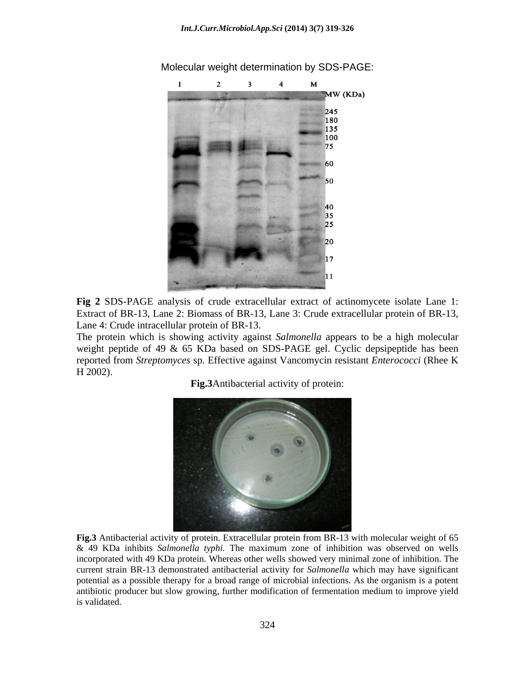

Molecular weight determination by SDS-PAGE:

**Fig 2** SDS-PAGE analysis of crude extracellular extract of actinomycete isolate Lane 1: Extract of BR-13, Lane 2: Biomass of BR-13, Lane 3: Crude extracellular protein of BR-13, Lane 4: Crude intracellular protein of BR-13.

The protein which is showing activity against *Salmonella* appears to be a high molecular weight peptide of 49 & 65 KDa based on SDS-PAGE gel. Cyclic depsipeptide has been reported from *Streptomyces* sp. Effective against Vancomycin resistant *Enterococci* (Rhee K H 2002).

**Fig.3**Antibacterial activity of protein:



**Fig.3** Antibacterial activity of protein. Extracellular protein from BR-13 with molecular weight of 65 & 49 KDa inhibits *Salmonella typhi.* The maximum zone of inhibition was observed on wells incorporated with 49 KDa protein. Whereas other wells showed very minimal zone of inhibition. The current strain BR-13 demonstrated antibacterial activity for *Salmonella* which may have significant potential as a possible therapy for a broad range of microbial infections. As the organism is a potent antibiotic producer but slow growing, further modification of fermentation medium to improve yield is validated.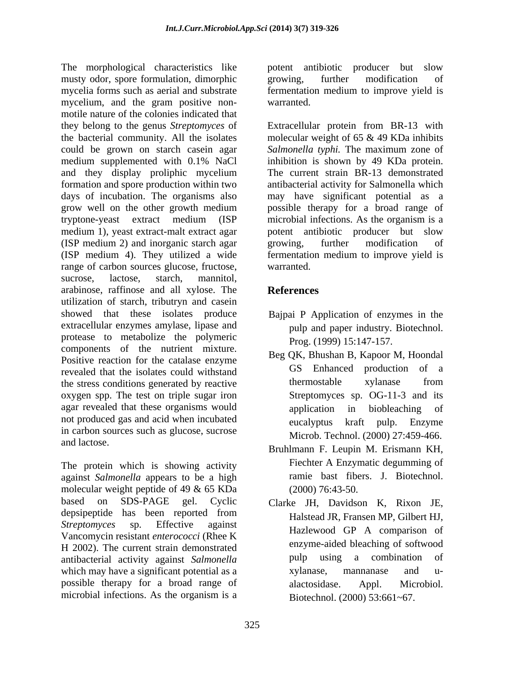The morphological characteristics like potent antibiotic producer but slow musty odor, spore formulation, dimorphic mycelia forms such as aerial and substrate fermentation medium to improve yield is mycelium, and the gram positive non-<br>warranted. motile nature of the colonies indicated that they belong to the genus *Streptomyces* of Extracellular protein from BR-13 with the bacterial community. All the isolates molecular weight of 65 & 49 KDa inhibits could be grown on starch casein agar *Salmonella typhi.* The maximum zone of medium supplemented with 0.1% NaCl inhibition is shown by 49 KDa protein. and they display proliphic mycelium formation and spore production within two days of incubation. The organisms also may have significant potential as a grow well on the other growth medium spossible therapy for a broad range of tryptone-yeast extract medium (ISP microbial infections. As the organism is a medium 1), yeast extract-malt extract agar (ISP medium 2) and inorganic starch agar (ISP medium 4). They utilized a wide fermentation medium to improve yield is range of carbon sources glucose, fructose, warranted. sucrose, lactose, starch, mannitol, arabinose, raffinose and all xylose. The utilization of starch, tributryn and casein showed that these isolates produce Bajpai P Application of enzymes in the extracellular enzymes amylase, lipase and protease to metabolize the polymeric components of the nutrient mixture. Positive reaction for the catalase enzyme revealed that the isolates could withstand<br>the stress conditions generated by reactive the explanation is the stress conditions generated by reactive the stress conditions generated by reactive oxygen spp. The test on triple sugar iron agar revealed that these organisms would application in biobleaching of not produced gas and acid when incubated eucalyptus in carbon sources such as glucose, sucrose and lactose.

The protein which is showing activity against *Salmonella* appears to be a high molecular weight peptide of 49 & 65 KDa based on SDS-PAGE gel. Cyclic Clarke JH, Davidson K, Rixon JE, depsipeptide has been reported from *Streptomyces* sp. Effective against **Hermann Hollows** CP A compension of Vancomycin resistant *enterococci* (Rhee K H 2002). The current strain demonstrated<br>antibacterial activity against Salmonalla antibacterial activity against Salmonalla antibacterial activity against *Salmonella*  which may have a significant potential as a sylanase, mannanase and upossible therapy for a broad range of alactosidase. Appl. Microbiol. microbial infections. As the organism is a

potent antibiotic producer but slow growing, further modification of warranted.

inhibition is shown by 49 KDa protein. The current strain BR-13 demonstrated antibacterial activity for Salmonella which possible therapy for a broad range of potent antibiotic producer but slow growing, further modification of warranted.

## **References**

- pulp and paper industry. Biotechnol. Prog. (1999) 15:147-157.
- Beg QK, Bhushan B, Kapoor M, Hoondal GS Enhanced production of a thermostable xylanase from Streptomyces sp. OG-11-3 and its application in biobleaching of kraft pulp. Enzyme Microb. Technol. (2000) 27:459-466.
- Bruhlmann F. Leupin M. Erismann KH, Fiechter A Enzymatic degumming of ramie bast fibers. J. Biotechnol. (2000) 76:43-50.
- Halstead JR, Fransen MP, Gilbert HJ, Hazlewood GP A comparison of enzyme-aided bleaching of softwood pulp using a combination of xylanase, mannanase and u alactosidase. Appl. Microbiol. Biotechnol. (2000) 53:661~67.